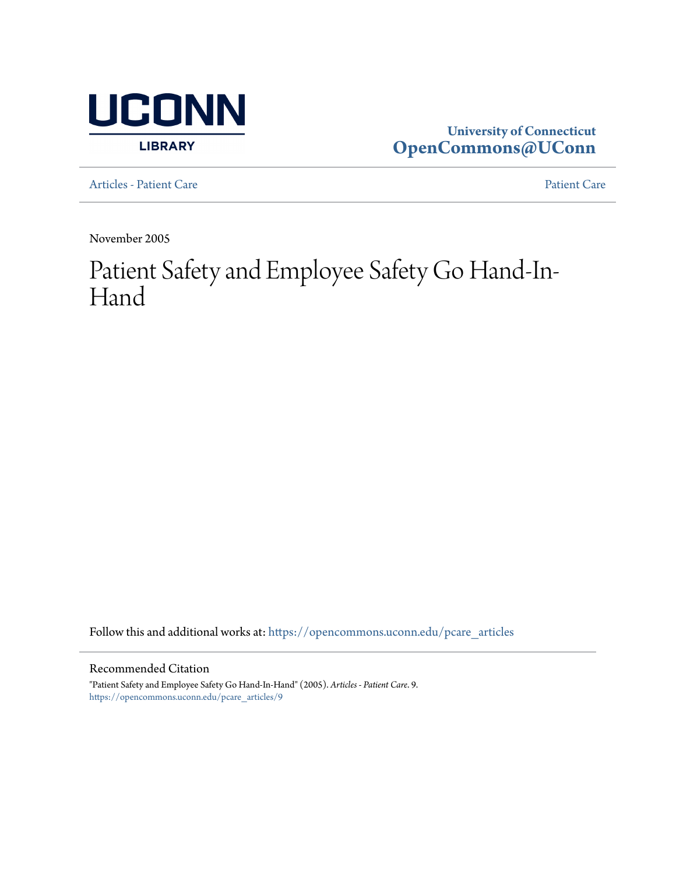

# **University of Connecticut [OpenCommons@UConn](https://opencommons.uconn.edu?utm_source=opencommons.uconn.edu%2Fpcare_articles%2F9&utm_medium=PDF&utm_campaign=PDFCoverPages)**

[Articles - Patient Care](https://opencommons.uconn.edu/pcare_articles?utm_source=opencommons.uconn.edu%2Fpcare_articles%2F9&utm_medium=PDF&utm_campaign=PDFCoverPages) [Patient Care](https://opencommons.uconn.edu/pcare?utm_source=opencommons.uconn.edu%2Fpcare_articles%2F9&utm_medium=PDF&utm_campaign=PDFCoverPages) Patient Care Patient Care Patient Care Patient Care Patient Care Patient Care Patient Care Patient Care Patient Care Patient Care Patient Care Patient Care Patient Care Patient Care Pat

November 2005

# Patient Safety and Employee Safety Go Hand-In-Hand

Follow this and additional works at: [https://opencommons.uconn.edu/pcare\\_articles](https://opencommons.uconn.edu/pcare_articles?utm_source=opencommons.uconn.edu%2Fpcare_articles%2F9&utm_medium=PDF&utm_campaign=PDFCoverPages)

#### Recommended Citation

"Patient Safety and Employee Safety Go Hand-In-Hand" (2005). *Articles - Patient Care*. 9. [https://opencommons.uconn.edu/pcare\\_articles/9](https://opencommons.uconn.edu/pcare_articles/9?utm_source=opencommons.uconn.edu%2Fpcare_articles%2F9&utm_medium=PDF&utm_campaign=PDFCoverPages)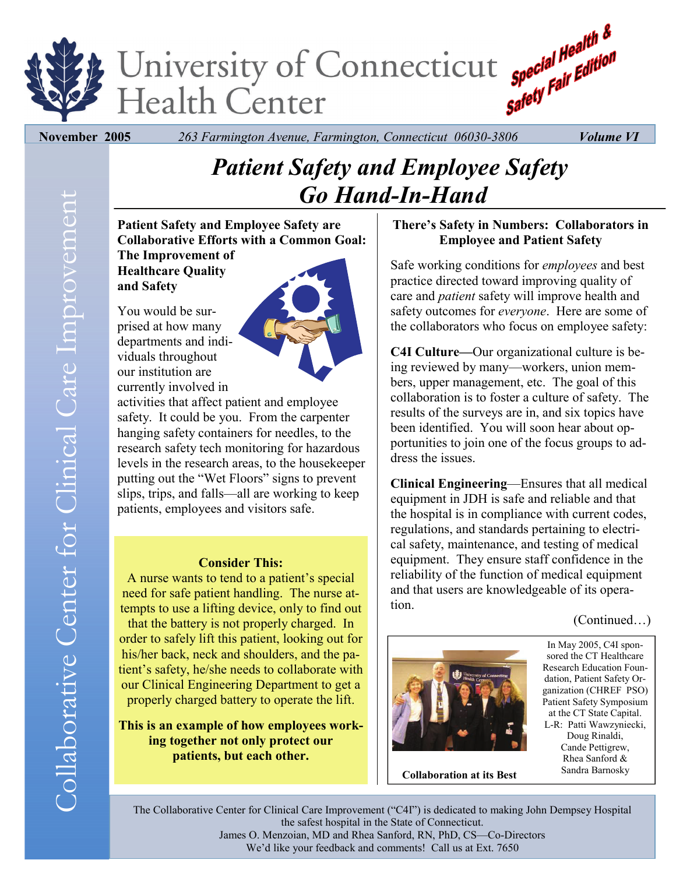

 **November 2005** *263 Farmington Avenue, Farmington, Connecticut 06030-3806 Volume VI* 

# *Patient Safety and Employee Safety Go Hand-In-Hand*

**Patient Safety and Employee Safety are Collaborative Efforts with a Common Goal:** 

**The Improvement of Healthcare Quality and Safety** 

You would be surprised at how many departments and individuals throughout our institution are currently involved in



activities that affect patient and employee safety. It could be you. From the carpenter hanging safety containers for needles, to the research safety tech monitoring for hazardous levels in the research areas, to the housekeeper putting out the "Wet Floors" signs to prevent slips, trips, and falls—all are working to keep patients, employees and visitors safe.

#### **Consider This:**

A nurse wants to tend to a patient's special need for safe patient handling. The nurse attempts to use a lifting device, only to find out that the battery is not properly charged. In order to safely lift this patient, looking out for his/her back, neck and shoulders, and the patient's safety, he/she needs to collaborate with our Clinical Engineering Department to get a properly charged battery to operate the lift.

**This is an example of how employees working together not only protect our patients, but each other.** 

## **There's Safety in Numbers: Collaborators in Employee and Patient Safety**

Safe working conditions for *employees* and best practice directed toward improving quality of care and *patient* safety will improve health and safety outcomes for *everyone*. Here are some of the collaborators who focus on employee safety:

**C4I Culture—**Our organizational culture is being reviewed by many—workers, union members, upper management, etc. The goal of this collaboration is to foster a culture of safety. The results of the surveys are in, and six topics have been identified. You will soon hear about opportunities to join one of the focus groups to address the issues.

**Clinical Engineering**—Ensures that all medical equipment in JDH is safe and reliable and that the hospital is in compliance with current codes, regulations, and standards pertaining to electrical safety, maintenance, and testing of medical equipment. They ensure staff confidence in the reliability of the function of medical equipment and that users are knowledgeable of its operation.

## (Continued…)



In May 2005, C4I sponsored the CT Healthcare Research Education Foundation, Patient Safety Organization (CHREF PSO) Patient Safety Symposium at the CT State Capital. L-R: Patti Wawzyniecki, Doug Rinaldi, Cande Pettigrew, Rhea Sanford &

Sandra Barnosky **Collaboration at its Best** 

The Collaborative Center for Clinical Care Improvement ("C4I") is dedicated to making John Dempsey Hospital the safest hospital in the State of Connecticut. James O. Menzoian, MD and Rhea Sanford, RN, PhD, CS—Co-Directors We'd like your feedback and comments! Call us at Ext. 7650